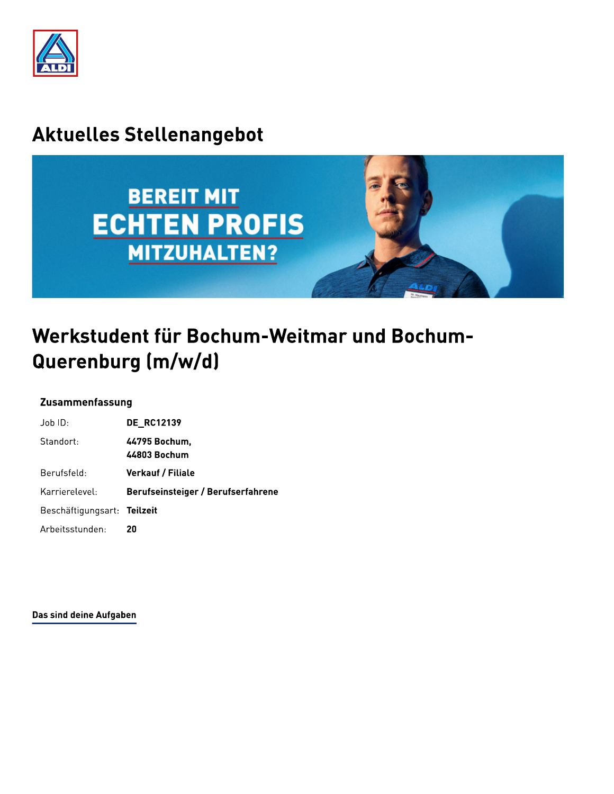

## **Aktuelles Stellenangebot**



# Werkstudent für Bochum-Weitmar und Bochum-Querenburg (m/w/d)

### Zusammenfassung

| $Job$ ID:                   | <b>DE RC12139</b>                  |
|-----------------------------|------------------------------------|
| Standort:                   | 44795 Bochum.<br>44803 Bochum      |
| Berufsfeld:                 | <b>Verkauf / Filiale</b>           |
| Karrierelevel:              | Berufseinsteiger / Berufserfahrene |
| Beschäftigungsart: Teilzeit |                                    |
| Arbeitsstunden:             | 20                                 |

Das sind deine Aufgaben